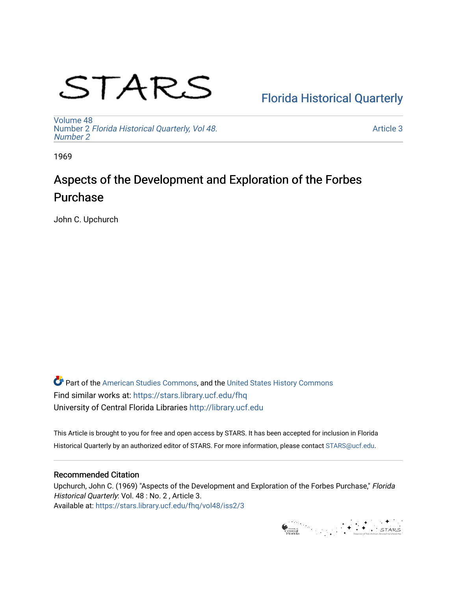# STARS

[Florida Historical Quarterly](https://stars.library.ucf.edu/fhq) 

[Volume 48](https://stars.library.ucf.edu/fhq/vol48) Number 2 [Florida Historical Quarterly, Vol 48.](https://stars.library.ucf.edu/fhq/vol48/iss2) [Number 2](https://stars.library.ucf.edu/fhq/vol48/iss2)

[Article 3](https://stars.library.ucf.edu/fhq/vol48/iss2/3) 

1969

# Aspects of the Development and Exploration of the Forbes Purchase

John C. Upchurch

**C** Part of the [American Studies Commons](http://network.bepress.com/hgg/discipline/439?utm_source=stars.library.ucf.edu%2Ffhq%2Fvol48%2Fiss2%2F3&utm_medium=PDF&utm_campaign=PDFCoverPages), and the United States History Commons Find similar works at: <https://stars.library.ucf.edu/fhq> University of Central Florida Libraries [http://library.ucf.edu](http://library.ucf.edu/) 

This Article is brought to you for free and open access by STARS. It has been accepted for inclusion in Florida Historical Quarterly by an authorized editor of STARS. For more information, please contact [STARS@ucf.edu.](mailto:STARS@ucf.edu)

## Recommended Citation

Upchurch, John C. (1969) "Aspects of the Development and Exploration of the Forbes Purchase," Florida Historical Quarterly: Vol. 48 : No. 2 , Article 3. Available at: [https://stars.library.ucf.edu/fhq/vol48/iss2/3](https://stars.library.ucf.edu/fhq/vol48/iss2/3?utm_source=stars.library.ucf.edu%2Ffhq%2Fvol48%2Fiss2%2F3&utm_medium=PDF&utm_campaign=PDFCoverPages) 

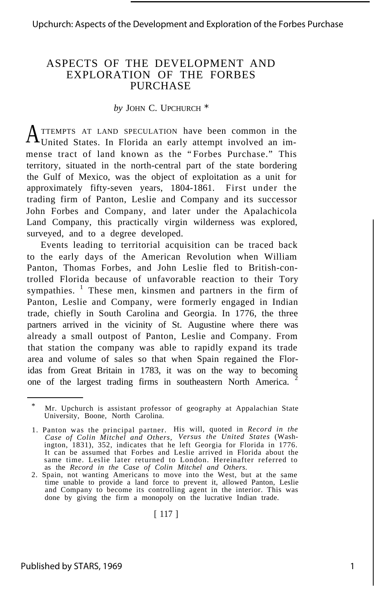#### ASPECTS OF THE DEVELOPMENT AND EXPLORATION OF THE FORBES PURCHASE

#### *by* JOHN C. UPCHURCH *\**

 $A$ <sup>TTEMPTS</sup> AT LAND SPECULATION have been common in the United States. In Florida an early attempt involved an immense tract of land known as the "Forbes Purchase." This territory, situated in the north-central part of the state bordering the Gulf of Mexico, was the object of exploitation as a unit for approximately fifty-seven years, 1804-1861. First under the trading firm of Panton, Leslie and Company and its successor John Forbes and Company, and later under the Apalachicola Land Company, this practically virgin wilderness was explored, surveyed, and to a degree developed.

Events leading to territorial acquisition can be traced back to the early days of the American Revolution when William Panton, Thomas Forbes, and John Leslie fled to British-controlled Florida because of unfavorable reaction to their Tory sympathies.  $\frac{1}{1}$  These men, kinsmen and partners in the firm of Panton, Leslie and Company, were formerly engaged in Indian trade, chiefly in South Carolina and Georgia. In 1776, the three partners arrived in the vicinity of St. Augustine where there was already a small outpost of Panton, Leslie and Company. From that station the company was able to rapidly expand its trade area and volume of sales so that when Spain regained the Floridas from Great Britain in 1783, it was on the way to becoming one of the largest trading firms in southeastern North America. <sup>2</sup>

Mr. Upchurch is assistant professor of geography at Appalachian State University, Boone, North Carolina.

<sup>1.</sup> Panton was the principal partner. His will, quoted in *Record in the Case of Colin Mitchel and Others*, *Versus the United States* (Washington, 1831), 352, indicates that he left Georgia for Florida in 1776. It can be a same time. Leslie later returned to London. Hereinafter referred to

as the *Record in the Case of Colin Mitchel and Others.* 2. Spain, not wanting Americans to move into the West, but at the same time unable to provide a land force to prevent it, allowed Panton, Leslie and Company to become its controlling agent in the interior. This was done by giving the firm a monopoly on the lucrative Indian trade.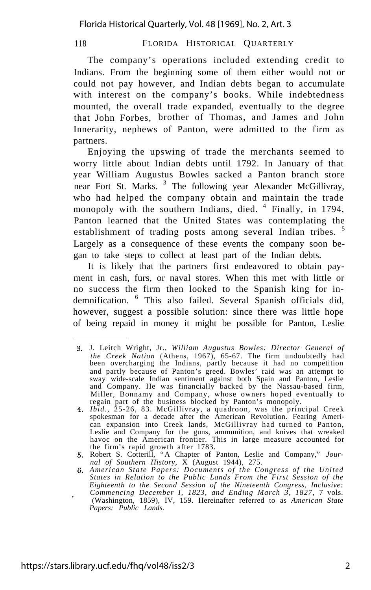The company's operations included extending credit to Indians. From the beginning some of them either would not or could not pay however, and Indian debts began to accumulate with interest on the company's books. While indebtedness mounted, the overall trade expanded, eventually to the degree that John Forbes, brother of Thomas, and James and John Innerarity, nephews of Panton, were admitted to the firm as partners.

Enjoying the upswing of trade the merchants seemed to worry little about Indian debts until 1792. In January of that year William Augustus Bowles sacked a Panton branch store near Fort St. Marks.<sup>3</sup> The following year Alexander McGillivray, who had helped the company obtain and maintain the trade monopoly with the southern Indians, died. <sup>4</sup> Finally, in 1794, Panton learned that the United States was contemplating the establishment of trading posts among several Indian tribes.<sup>5</sup> Largely as a consequence of these events the company soon began to take steps to collect at least part of the Indian debts.

It is likely that the partners first endeavored to obtain payment in cash, furs, or naval stores. When this met with little or no success the firm then looked to the Spanish king for indemnification. <sup>6</sup> This also failed. Several Spanish officials did, however, suggest a possible solution: since there was little hope of being repaid in money it might be possible for Panton, Leslie

J. Leitch Wright, Jr., *William Augustus Bowles: Director General of the Creek Nation* (Athens, 1967), 65-67. The firm undoubtedly had been overcharging the Indians, partly because it had no competition and partly because of Panton's greed. Bowles' raid was an attempt to sway wide-scale Indian sentiment against both Spain and Panton, Leslie and Company. He was financially backed by the Nassau-based firm, Miller, Bonnamy and Company, whose owners hoped eventually to regain part of the business blocked by Panton's monopoly.

*Ibid.*, 25-26, 83. McGillivray, a quadroon, was the principal Creek spokesman for a decade after the American Revolution. Fearing American expansion into Creek lands, McGillivray had turned to Panton, Leslie and Company f havoc on the American frontier. This in large measure accounted for the firm's rapid growth after 1783.

Robert S. Cotterill, "A Chapter of Panton, Leslie and Company," *Journal of Southern History,* X (August 1944), 275. *American State Papers: Documents of the Congress of the United*

*States in Relation to the Public Lands From the First Session of the Eighteenth to the Second Session of the Nineteenth Congress, Inclusive: Commencing December I, 1823, and Ending March 3, 1827,* 7 vols. (Washington, 1859), IV, 159. Hereinafter referred to as *American State Papers: Public Lands.*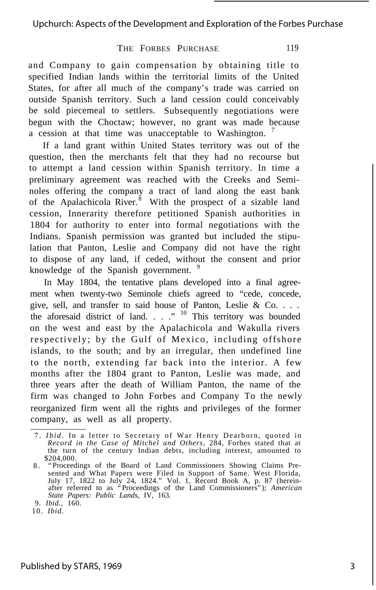#### THE FORBES PURCHASE 119

and Company to gain compensation by obtaining title to specified Indian lands within the territorial limits of the United States, for after all much of the company's trade was carried on outside Spanish territory. Such a land cession could conceivably be sold piecemeal to settlers. Subsequently negotiations were begun with the Choctaw; however, no grant was made because a cession at that time was unacceptable to Washington.

If a land grant within United States territory was out of the question, then the merchants felt that they had no recourse but to attempt a land cession within Spanish territory. In time a preliminary agreement was reached with the Creeks and Seminoles offering the company a tract of land along the east bank of the Apalachicola River.<sup>8</sup> With the prospect of a sizable land cession, Innerarity therefore petitioned Spanish authorities in 1804 for authority to enter into formal negotiations with the Indians. Spanish permission was granted but included the stipulation that Panton, Leslie and Company did not have the right to dispose of any land, if ceded, without the consent and prior knowledge of the Spanish government.<sup>9</sup>

In May 1804, the tentative plans developed into a final agreement when twenty-two Seminole chiefs agreed to "cede, concede, give, sell, and transfer to said house of Panton, Leslie & Co. . . . the aforesaid district of land.  $\ldots$  ." <sup>10</sup> This territory was bounded on the west and east by the Apalachicola and Wakulla rivers respectively; by the Gulf of Mexico, including offshore islands, to the south; and by an irregular, then undefined line to the north, extending far back into the interior. A few months after the 1804 grant to Panton, Leslie was made, and three years after the death of William Panton, the name of the firm was changed to John Forbes and Company To the newly reorganized firm went all the rights and privileges of the former company, as well as all property.

<sup>7.</sup> *Ibid.* In a letter to Secretary of War Henry Dearborn, quoted in *Record in the Case of Mitchel and Others,* 284, Forbes stated that at the turn of the century Indian debts, including interest, amounted to \$204,000.

<sup>8</sup> . "Proceedings of the Board of Land Commissioners Showing Claims Presented and What Papers were Filed in Support of Same. West Florida, July 17, 1822 to July 24, 1824." Vol. 1, Record Book A, p. 87 (herein-after referred to as "Proceedings of the Land Commissioners"); *American State Papers: Public Lands,* IV, 163.

<sup>9.</sup> *Ibid.,* 160.

<sup>10.</sup> *Ibid.*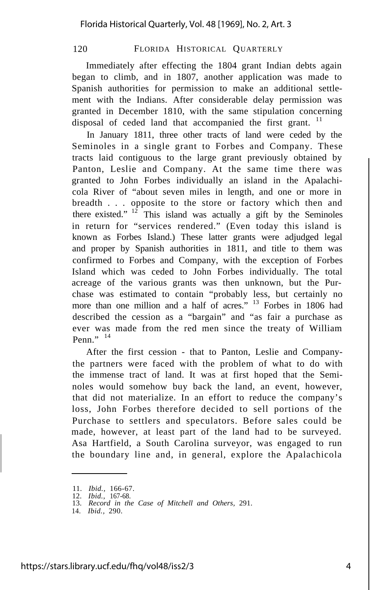Immediately after effecting the 1804 grant Indian debts again began to climb, and in 1807, another application was made to Spanish authorities for permission to make an additional settlement with the Indians. After considerable delay permission was granted in December 1810, with the same stipulation concerning disposal of ceded land that accompanied the first grant. <sup>11</sup>

In January 1811, three other tracts of land were ceded by the Seminoles in a single grant to Forbes and Company. These tracts laid contiguous to the large grant previously obtained by Panton, Leslie and Company. At the same time there was granted to John Forbes individually an island in the Apalachicola River of "about seven miles in length, and one or more in breadth . . . opposite to the store or factory which then and there existed."  $12$  This island was actually a gift by the Seminoles in return for "services rendered." (Even today this island is known as Forbes Island.) These latter grants were adjudged legal and proper by Spanish authorities in 1811, and title to them was confirmed to Forbes and Company, with the exception of Forbes Island which was ceded to John Forbes individually. The total acreage of the various grants was then unknown, but the Purchase was estimated to contain "probably less, but certainly no more than one million and a half of acres." <sup>13</sup> Forbes in 1806 had described the cession as a "bargain" and "as fair a purchase as ever was made from the red men since the treaty of William Penn." $14$ 

After the first cession - that to Panton, Leslie and Companythe partners were faced with the problem of what to do with the immense tract of land. It was at first hoped that the Seminoles would somehow buy back the land, an event, however, that did not materialize. In an effort to reduce the company's loss, John Forbes therefore decided to sell portions of the Purchase to settlers and speculators. Before sales could be made, however, at least part of the land had to be surveyed. Asa Hartfield, a South Carolina surveyor, was engaged to run the boundary line and, in general, explore the Apalachicola

<sup>11.</sup> *Ibid.,* 166-67.

<sup>12.</sup> *Ibid.,* 167-68. 13. *Record in the Case of Mitchell and Others,* 291.

<sup>14.</sup> *Ibid.,* 290.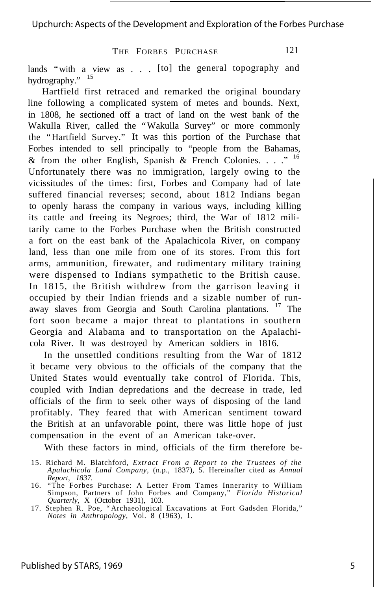#### THE FORBES PURCHASE 121

lands "with a view as . . . [to] the general topography and hydrography." <sup>15</sup>

Hartfield first retraced and remarked the original boundary line following a complicated system of metes and bounds. Next, in 1808, he sectioned off a tract of land on the west bank of the Wakulla River, called the "Wakulla Survey" or more commonly the "Hartfield Survey." It was this portion of the Purchase that Forbes intended to sell principally to "people from the Bahamas, & from the other English, Spanish & French Colonies. . . ."  $16$ Unfortunately there was no immigration, largely owing to the vicissitudes of the times: first, Forbes and Company had of late suffered financial reverses; second, about 1812 Indians began to openly harass the company in various ways, including killing its cattle and freeing its Negroes; third, the War of 1812 militarily came to the Forbes Purchase when the British constructed a fort on the east bank of the Apalachicola River, on company land, less than one mile from one of its stores. From this fort arms, ammunition, firewater, and rudimentary military training were dispensed to Indians sympathetic to the British cause. In 1815, the British withdrew from the garrison leaving it occupied by their Indian friends and a sizable number of runaway slaves from Georgia and South Carolina plantations. <sup>17</sup> The fort soon became a major threat to plantations in southern Georgia and Alabama and to transportation on the Apalachicola River. It was destroyed by American soldiers in 1816.

In the unsettled conditions resulting from the War of 1812 it became very obvious to the officials of the company that the United States would eventually take control of Florida. This, coupled with Indian depredations and the decrease in trade, led officials of the firm to seek other ways of disposing of the land profitably. They feared that with American sentiment toward the British at an unfavorable point, there was little hope of just compensation in the event of an American take-over.

With these factors in mind, officials of the firm therefore be-

<sup>15.</sup> Richard M. Blatchford, *Extract From a Report to the Trustees of the Apalachicola Land Company,* (n.p., 1837), 5. Hereinafter cited as *Annual*

*Report, 1837.* 16. "The Forbes Purchase: A Letter From Tames Innerarity to William Simpson, Partners of John Forbes and Company," *Florida Historical Quarterly,* X (October 1931), 103. 17. Stephen R. Poe, "Archaeological Excavations at Fort Gadsden Florida,"

*Notes in Anthropology,* Vol. 8 (1963), 1.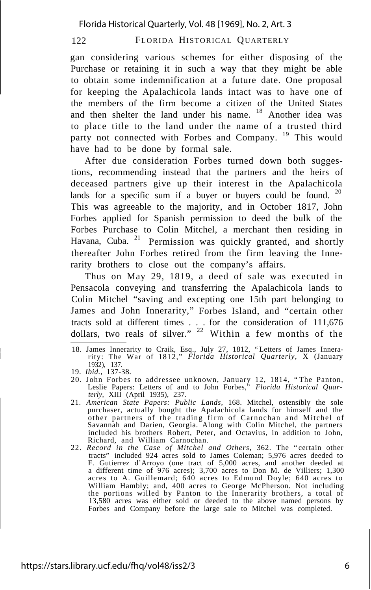gan considering various schemes for either disposing of the Purchase or retaining it in such a way that they might be able to obtain some indemnification at a future date. One proposal for keeping the Apalachicola lands intact was to have one of the members of the firm become a citizen of the United States and then shelter the land under his name. <sup>18</sup> Another idea was to place title to the land under the name of a trusted third party not connected with Forbes and Company.<sup>19</sup> This would have had to be done by formal sale.

After due consideration Forbes turned down both suggestions, recommending instead that the partners and the heirs of deceased partners give up their interest in the Apalachicola lands for a specific sum if a buyer or buyers could be found.  $20$ This was agreeable to the majority, and in October 1817, John Forbes applied for Spanish permission to deed the bulk of the Forbes Purchase to Colin Mitchel, a merchant then residing in Havana, Cuba.<sup>21</sup> Permission was quickly granted, and shortly thereafter John Forbes retired from the firm leaving the Innerarity brothers to close out the company's affairs.

Thus on May 29, 1819, a deed of sale was executed in Pensacola conveying and transferring the Apalachicola lands to Colin Mitchel "saving and excepting one 15th part belonging to James and John Innerarity," Forbes Island, and "certain other tracts sold at different times . . . for the consideration of 111,676 dollars, two reals of silver." <sup>22</sup> Within a few months of the

18. James Innerarity to Craik, Esq., July 27, 1812, "Letters of James Innera-rity: The War of 1812," *Florida Historical Quarterly,* X (January 1932), 137. 19. *Ibid.,* 137-38.

- 20. John Forbes to addressee unknown, January 12, 1814, "The Panton, Leslie Papers: Letters of and to John Forbes," *Florida Historical Quar-*
- *terly,* XIII (April 1935), 237. 21. *American State Papers: Public Lands,* 168. Mitchel, ostensibly the sole purchaser, actually bought the Apalachicola lands for himself and the other partners of the trading firm of Carnochan and Mitchel of Savannah and Darien, Georgia. Along with Colin Mitchel, the partners included his brothers Robert, Peter, and Octavius, in addition to John, Richard, and William Carnochan. 22. *Record in the Case of Mitchel and Others,* 362. The "certain other
- tracts" included 924 acres sold to James Coleman; 5,976 acres deeded to F. Gutierrez d'Arroyo (one tract of 5,000 acres, and another deeded at a different time of 976 acres); 3,700 acres to Don M. de Villiers; 1,300 acres to A. Guillemard; 640 acres to Edmund Doyle; 640 acres to William Hambly; and, 400 acres to George McPherson. Not including the portions willed by Panton to the Innerarity brothers, a total of 13,580 acres was either sold or deeded to the above named persons by Forbes and Company before the large sale to Mitchel was completed.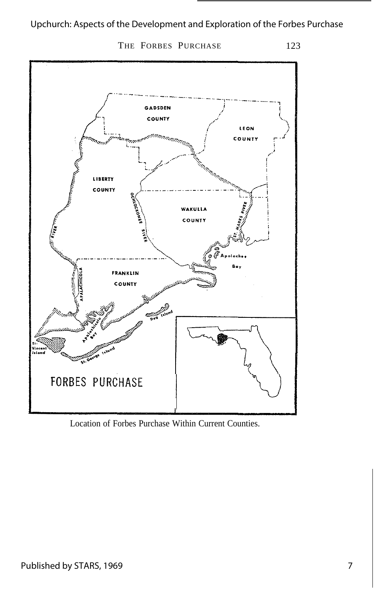



THE FORBES PURCHASE 123



Location of Forbes Purchase Within Current Counties.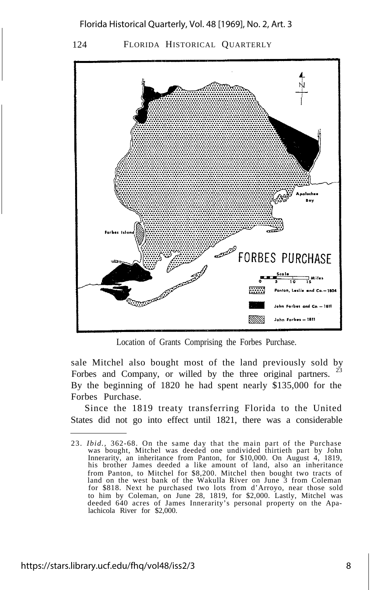

Location of Grants Comprising the Forbes Purchase.

sale Mitchel also bought most of the land previously sold by Forbes and Company, or willed by the three original partners. <sup>23</sup> By the beginning of 1820 he had spent nearly \$135,000 for the Forbes Purchase.

Since the 1819 treaty transferring Florida to the United States did not go into effect until 1821, there was a considerable

<sup>23.</sup> *Ibid.,* 362-68. On the same day that the main part of the Purchase was bought, Mitchel was deeded one undivided thirtieth part by John Innerarity, an inheritance from Panton, for \$10,000. On August 4, 1819, his brother James deeded a like amount of land, also an inheritance from Panton, to Mitchel for \$8,200. Mitchel then bought two tracts of land on the west bank of the Wakulla River on June 3 from Coleman for \$818. Next he purchased two lots from d'Arroyo, near those sold to him by Coleman, on June 28, 1819, for \$2,000. Lastly, Mitchel was deeded 640 acres of James Innerarity's personal property on the Apalachicola River for \$2,000.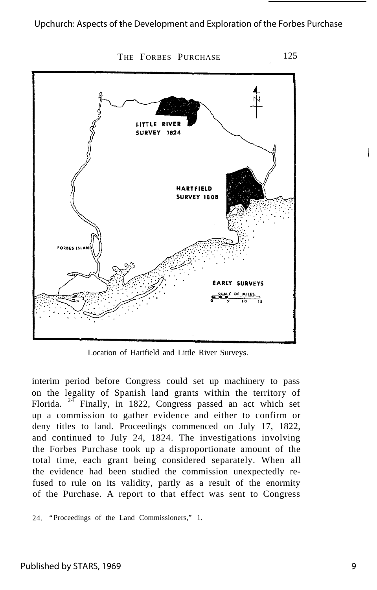

Location of Hartfield and Little River Surveys.

interim period before Congress could set up machinery to pass on the legality of Spanish land grants within the territory of Florida.  $24$  Finally, in 1822, Congress passed an act which set up a commission to gather evidence and either to confirm or deny titles to land. Proceedings commenced on July 17, 1822, and continued to July 24, 1824. The investigations involving the Forbes Purchase took up a disproportionate amount of the total time, each grant being considered separately. When all the evidence had been studied the commission unexpectedly refused to rule on its validity, partly as a result of the enormity of the Purchase. A report to that effect was sent to Congress

<sup>24.</sup> "Proceedings of the Land Commissioners," 1.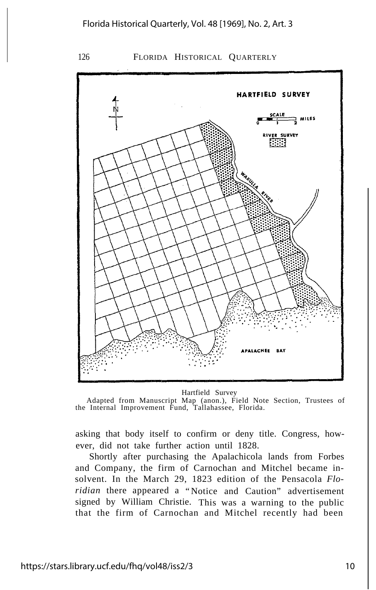

#### Hartfield Survey

Adapted from Manuscript Map (anon.), Field Note Section, Trustees of the Internal Improvement Fund, Tallahassee, Florida.

asking that body itself to confirm or deny title. Congress, however, did not take further action until 1828.

Shortly after purchasing the Apalachicola lands from Forbes and Company, the firm of Carnochan and Mitchel became insolvent. In the March 29, 1823 edition of the Pensacola *Floridian* there appeared a "Notice and Caution" advertisement signed by William Christie. This was a warning to the public that the firm of Carnochan and Mitchel recently had been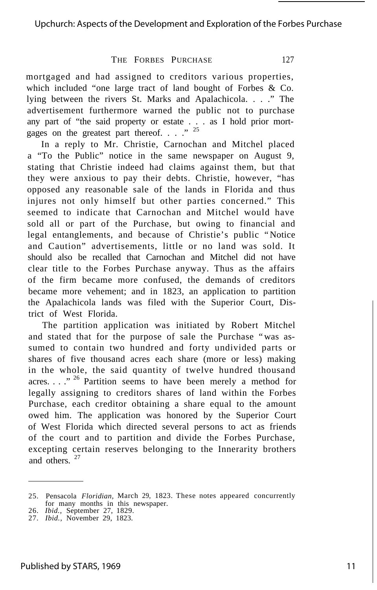#### THE FORBES PURCHASE 127

mortgaged and had assigned to creditors various properties, which included "one large tract of land bought of Forbes & Co. lying between the rivers St. Marks and Apalachicola. . . ." The advertisement furthermore warned the public not to purchase any part of "the said property or estate . . . as I hold prior mortgages on the greatest part thereof.  $\ldots$  ." 25

In a reply to Mr. Christie, Carnochan and Mitchel placed a "To the Public" notice in the same newspaper on August 9, stating that Christie indeed had claims against them, but that they were anxious to pay their debts. Christie, however, "has opposed any reasonable sale of the lands in Florida and thus injures not only himself but other parties concerned." This seemed to indicate that Carnochan and Mitchel would have sold all or part of the Purchase, but owing to financial and legal entanglements, and because of Christie's public "Notice and Caution" advertisements, little or no land was sold. It should also be recalled that Carnochan and Mitchel did not have clear title to the Forbes Purchase anyway. Thus as the affairs of the firm became more confused, the demands of creditors became more vehement; and in 1823, an application to partition the Apalachicola lands was filed with the Superior Court, District of West Florida.

The partition application was initiated by Robert Mitchel and stated that for the purpose of sale the Purchase "was assumed to contain two hundred and forty undivided parts or shares of five thousand acres each share (more or less) making in the whole, the said quantity of twelve hundred thousand acres.  $\ldots$ ." <sup>26</sup> Partition seems to have been merely a method for legally assigning to creditors shares of land within the Forbes Purchase, each creditor obtaining a share equal to the amount owed him. The application was honored by the Superior Court of West Florida which directed several persons to act as friends of the court and to partition and divide the Forbes Purchase, excepting certain reserves belonging to the Innerarity brothers and others  $27$ 

<sup>25.</sup> Pensacola *Floridian,* March 29, 1823. These notes appeared concurrently for many months in this newspaper. 26. *Ibid.,* September 27, 1829. 27. *Ibid.,* November 29, 1823.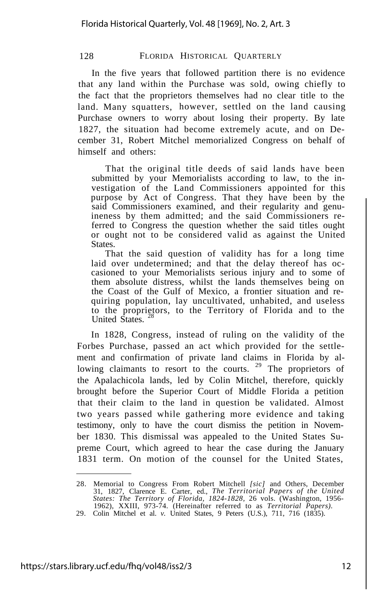In the five years that followed partition there is no evidence that any land within the Purchase was sold, owing chiefly to the fact that the proprietors themselves had no clear title to the land. Many squatters, however, settled on the land causing Purchase owners to worry about losing their property. By late 1827, the situation had become extremely acute, and on December 31, Robert Mitchel memorialized Congress on behalf of himself and others:

That the original title deeds of said lands have been submitted by your Memorialists according to law, to the investigation of the Land Commissioners appointed for this purpose by Act of Congress. That they have been by the said Commissioners examined, and their regularity and genuineness by them admitted; and the said Commissioners referred to Congress the question whether the said titles ought or ought not to be considered valid as against the United States.

That the said question of validity has for a long time laid over undetermined; and that the delay thereof has occasioned to your Memorialists serious injury and to some of them absolute distress, whilst the lands themselves being on the Coast of the Gulf of Mexico, a frontier situation and requiring population, lay uncultivated, unhabited, and useless to the proprietors, to the Territory of Florida and to the United States.<sup>28</sup>

In 1828, Congress, instead of ruling on the validity of the Forbes Purchase, passed an act which provided for the settlement and confirmation of private land claims in Florida by allowing claimants to resort to the courts.  $29$  The proprietors of the Apalachicola lands, led by Colin Mitchel, therefore, quickly brought before the Superior Court of Middle Florida a petition that their claim to the land in question be validated. Almost two years passed while gathering more evidence and taking testimony, only to have the court dismiss the petition in November 1830. This dismissal was appealed to the United States Supreme Court, which agreed to hear the case during the January 1831 term. On motion of the counsel for the United States,

<sup>28.</sup> Memorial to Congress From Robert Mitchell [sic] and Others, December 31, 1827, Clarence E. Carter, ed., *The Territorial Papers of the United States: The Territory of Florida, 1824-1828, 26 vols.* (Washington, 1956-1962), XXIII, 973-74. (Hereinafter referred to as *Territorial Papers).*

<sup>29.</sup> Colin Mitchel et al. *v.* United States, 9 Peters (U.S.), 711, 716 (1835).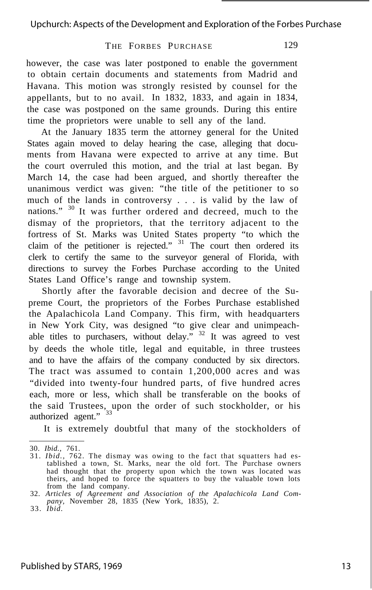#### THE FORBES PURCHASE 129

however, the case was later postponed to enable the government to obtain certain documents and statements from Madrid and Havana. This motion was strongly resisted by counsel for the appellants, but to no avail. In 1832, 1833, and again in 1834, the case was postponed on the same grounds. During this entire time the proprietors were unable to sell any of the land.

At the January 1835 term the attorney general for the United States again moved to delay hearing the case, alleging that documents from Havana were expected to arrive at any time. But the court overruled this motion, and the trial at last began. By March 14, the case had been argued, and shortly thereafter the unanimous verdict was given: "the title of the petitioner to so much of the lands in controversy . . . is valid by the law of nations." <sup>30</sup> It was further ordered and decreed, much to the dismay of the proprietors, that the territory adjacent to the fortress of St. Marks was United States property "to which the claim of the petitioner is rejected."  $31$  The court then ordered its clerk to certify the same to the surveyor general of Florida, with directions to survey the Forbes Purchase according to the United States Land Office's range and township system.

Shortly after the favorable decision and decree of the Supreme Court, the proprietors of the Forbes Purchase established the Apalachicola Land Company. This firm, with headquarters in New York City, was designed "to give clear and unimpeachable titles to purchasers, without delay."  $32$  It was agreed to vest by deeds the whole title, legal and equitable, in three trustees and to have the affairs of the company conducted by six directors. The tract was assumed to contain 1,200,000 acres and was "divided into twenty-four hundred parts, of five hundred acres each, more or less, which shall be transferable on the books of the said Trustees, upon the order of such stockholder, or his authorized agent."<sup>33</sup>

It is extremely doubtful that many of the stockholders of

33. *Ibid.*

<sup>30.</sup> *Ibid.,* 761. 31. *Ibid.,* 762. The dismay was owing to the fact that squatters had established a town, St. Marks, near the old fort. The Purchase owners had thought that the property upon which the town was located was theirs, and hoped to force the squatters to buy the valuable town lots from the land company.

<sup>32.</sup> *Articles of Agreement and Association of the Apalachicola Land Company,* November 28, 1835 (New York, 1835), 2.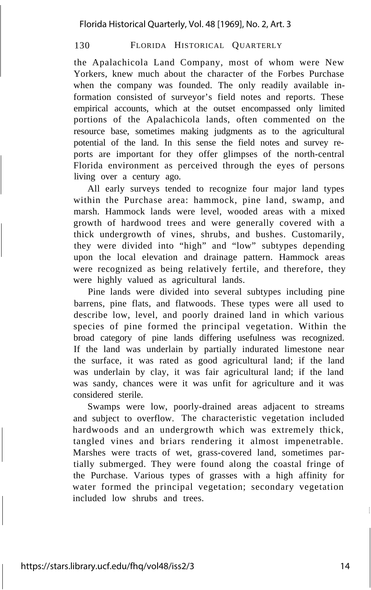Florida Historical Quarterly, Vol. 48 [1969], No. 2, Art. 3

#### 130 FLORIDA HISTORICAL QUARTERLY

the Apalachicola Land Company, most of whom were New Yorkers, knew much about the character of the Forbes Purchase when the company was founded. The only readily available information consisted of surveyor's field notes and reports. These empirical accounts, which at the outset encompassed only limited portions of the Apalachicola lands, often commented on the resource base, sometimes making judgments as to the agricultural potential of the land. In this sense the field notes and survey reports are important for they offer glimpses of the north-central Florida environment as perceived through the eyes of persons living over a century ago.

All early surveys tended to recognize four major land types within the Purchase area: hammock, pine land, swamp, and marsh. Hammock lands were level, wooded areas with a mixed growth of hardwood trees and were generally covered with a thick undergrowth of vines, shrubs, and bushes. Customarily, they were divided into "high" and "low" subtypes depending upon the local elevation and drainage pattern. Hammock areas were recognized as being relatively fertile, and therefore, they were highly valued as agricultural lands.

Pine lands were divided into several subtypes including pine barrens, pine flats, and flatwoods. These types were all used to describe low, level, and poorly drained land in which various species of pine formed the principal vegetation. Within the broad category of pine lands differing usefulness was recognized. If the land was underlain by partially indurated limestone near the surface, it was rated as good agricultural land; if the land was underlain by clay, it was fair agricultural land; if the land was sandy, chances were it was unfit for agriculture and it was considered sterile.

Swamps were low, poorly-drained areas adjacent to streams and subject to overflow. The characteristic vegetation included hardwoods and an undergrowth which was extremely thick, tangled vines and briars rendering it almost impenetrable. Marshes were tracts of wet, grass-covered land, sometimes partially submerged. They were found along the coastal fringe of the Purchase. Various types of grasses with a high affinity for water formed the principal vegetation; secondary vegetation included low shrubs and trees.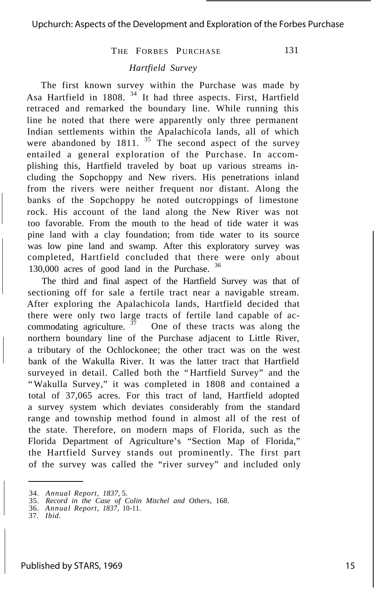#### THE FORBES PURCHASE

131

#### *Hartfield Survey*

The first known survey within the Purchase was made by Asa Hartfield in 1808.  $34$  It had three aspects. First, Hartfield retraced and remarked the boundary line. While running this line he noted that there were apparently only three permanent Indian settlements within the Apalachicola lands, all of which were abandoned by 1811.  $35$  The second aspect of the survey entailed a general exploration of the Purchase. In accomplishing this, Hartfield traveled by boat up various streams including the Sopchoppy and New rivers. His penetrations inland from the rivers were neither frequent nor distant. Along the banks of the Sopchoppy he noted outcroppings of limestone rock. His account of the land along the New River was not too favorable. From the mouth to the head of tide water it was pine land with a clay foundation; from tide water to its source was low pine land and swamp. After this exploratory survey was completed, Hartfield concluded that there were only about 130,000 acres of good land in the Purchase. <sup>36</sup>

The third and final aspect of the Hartfield Survey was that of sectioning off for sale a fertile tract near a navigable stream. After exploring the Apalachicola lands, Hartfield decided that there were only two large tracts of fertile land capable of accommodating agriculture.  $37$  One of these tracts was along the northern boundary line of the Purchase adjacent to Little River, a tributary of the Ochlockonee; the other tract was on the west bank of the Wakulla River. It was the latter tract that Hartfield surveyed in detail. Called both the "Hartfield Survey" and the "Wakulla Survey," it was completed in 1808 and contained a total of 37,065 acres. For this tract of land, Hartfield adopted a survey system which deviates considerably from the standard range and township method found in almost all of the rest of the state. Therefore, on modern maps of Florida, such as the Florida Department of Agriculture's "Section Map of Florida," the Hartfield Survey stands out prominently. The first part of the survey was called the "river survey" and included only

<sup>34.</sup> *Annual Report, 1837,* 5.

<sup>35.</sup> *Record in the Case of Colin Mitchel and Others,* 168. 36. *Annual Report, 1837,* 10-11. 37. *Ibid.*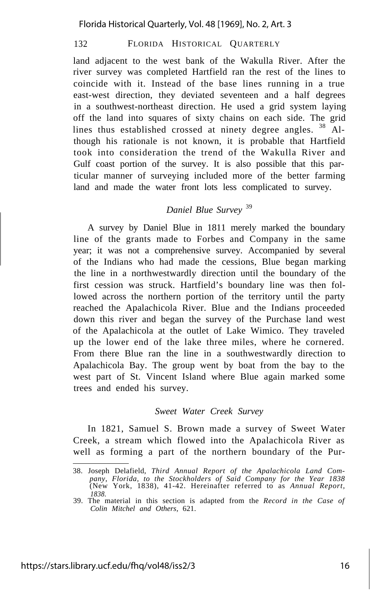land adjacent to the west bank of the Wakulla River. After the river survey was completed Hartfield ran the rest of the lines to coincide with it. Instead of the base lines running in a true east-west direction, they deviated seventeen and a half degrees in a southwest-northeast direction. He used a grid system laying off the land into squares of sixty chains on each side. The grid lines thus established crossed at ninety degree angles.  $38$  Although his rationale is not known, it is probable that Hartfield took into consideration the trend of the Wakulla River and Gulf coast portion of the survey. It is also possible that this particular manner of surveying included more of the better farming land and made the water front lots less complicated to survey.

### *Daniel Blue Survey* <sup>39</sup>

A survey by Daniel Blue in 1811 merely marked the boundary line of the grants made to Forbes and Company in the same year; it was not a comprehensive survey. Accompanied by several of the Indians who had made the cessions, Blue began marking the line in a northwestwardly direction until the boundary of the first cession was struck. Hartfield's boundary line was then followed across the northern portion of the territory until the party reached the Apalachicola River. Blue and the Indians proceeded down this river and began the survey of the Purchase land west of the Apalachicola at the outlet of Lake Wimico. They traveled up the lower end of the lake three miles, where he cornered. From there Blue ran the line in a southwestwardly direction to Apalachicola Bay. The group went by boat from the bay to the west part of St. Vincent Island where Blue again marked some trees and ended his survey.

#### *Sweet Water Creek Survey*

In 1821, Samuel S. Brown made a survey of Sweet Water Creek, a stream which flowed into the Apalachicola River as well as forming a part of the northern boundary of the Pur-

<sup>38.</sup> Joseph Delafield, *Third Annual Report of the Apalachicola Land Company, Florida, to the Stockholders of Said Company for the Year 1838 1838.* (New York, 1838), 41-42. Hereinafter referred to as *Annual Report,*

<sup>39.</sup> The material in this section is adapted from the *Record in the Case of Colin Mitchel and Others,* 621.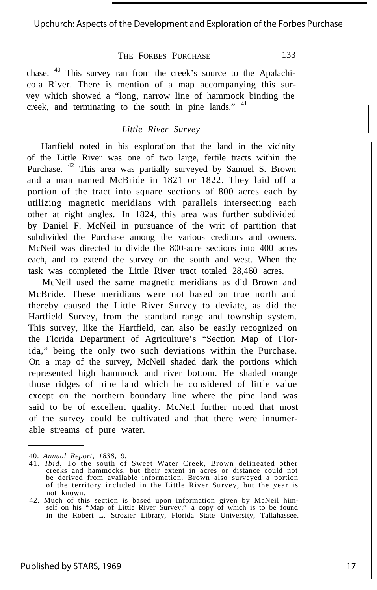#### THE FORBES PURCHASE 133

chase. <sup>40</sup> This survey ran from the creek's source to the Apalachicola River. There is mention of a map accompanying this survey which showed a "long, narrow line of hammock binding the creek, and terminating to the south in pine lands." <sup>41</sup>

#### *Little River Survey*

Hartfield noted in his exploration that the land in the vicinity of the Little River was one of two large, fertile tracts within the Purchase. <sup>42</sup> This area was partially surveyed by Samuel S. Brown and a man named McBride in 1821 or 1822. They laid off a portion of the tract into square sections of 800 acres each by utilizing magnetic meridians with parallels intersecting each other at right angles. In 1824, this area was further subdivided by Daniel F. McNeil in pursuance of the writ of partition that subdivided the Purchase among the various creditors and owners. McNeil was directed to divide the 800-acre sections into 400 acres each, and to extend the survey on the south and west. When the task was completed the Little River tract totaled 28,460 acres.

McNeil used the same magnetic meridians as did Brown and McBride. These meridians were not based on true north and thereby caused the Little River Survey to deviate, as did the Hartfield Survey, from the standard range and township system. This survey, like the Hartfield, can also be easily recognized on the Florida Department of Agriculture's "Section Map of Florida," being the only two such deviations within the Purchase. On a map of the survey, McNeil shaded dark the portions which represented high hammock and river bottom. He shaded orange those ridges of pine land which he considered of little value except on the northern boundary line where the pine land was said to be of excellent quality. McNeil further noted that most of the survey could be cultivated and that there were innumerable streams of pure water.

<sup>40.</sup> *Annual Report, 1838,* 9. 41. *Ibid.* To the south of Sweet Water Creek, Brown delineated other creeks and hammocks, but their extent in acres or distance could not be derived from available information. Brown also surveyed a portion of the territory included in the Little River Survey, but the year is not known.

<sup>42.</sup> Much of this section is based upon information given by McNeil him-self on his "Map of Little River Survey," a copy of which is to be found in the Robert L. Strozier Library, Florida State University, Tallahassee.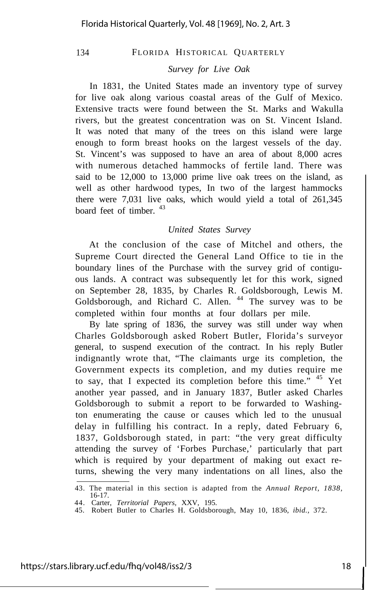#### *Survey for Live Oak*

In 1831, the United States made an inventory type of survey for live oak along various coastal areas of the Gulf of Mexico. Extensive tracts were found between the St. Marks and Wakulla rivers, but the greatest concentration was on St. Vincent Island. It was noted that many of the trees on this island were large enough to form breast hooks on the largest vessels of the day. St. Vincent's was supposed to have an area of about 8,000 acres with numerous detached hammocks of fertile land. There was said to be 12,000 to 13,000 prime live oak trees on the island, as well as other hardwood types, In two of the largest hammocks there were 7,031 live oaks, which would yield a total of 261,345 board feet of timber. <sup>43</sup>

#### *United States Survey*

At the conclusion of the case of Mitchel and others, the Supreme Court directed the General Land Office to tie in the boundary lines of the Purchase with the survey grid of contiguous lands. A contract was subsequently let for this work, signed on September 28, 1835, by Charles R. Goldsborough, Lewis M. Goldsborough, and Richard C. Allen. <sup>44</sup> The survey was to be completed within four months at four dollars per mile.

By late spring of 1836, the survey was still under way when Charles Goldsborough asked Robert Butler, Florida's surveyor general, to suspend execution of the contract. In his reply Butler indignantly wrote that, "The claimants urge its completion, the Government expects its completion, and my duties require me to say, that I expected its completion before this time." <sup>45</sup> Yet another year passed, and in January 1837, Butler asked Charles Goldsborough to submit a report to be forwarded to Washington enumerating the cause or causes which led to the unusual delay in fulfilling his contract. In a reply, dated February 6, 1837, Goldsborough stated, in part: "the very great difficulty attending the survey of 'Forbes Purchase,' particularly that part which is required by your department of making out exact returns, shewing the very many indentations on all lines, also the

<sup>43.</sup> The material in this section is adapted from the *Annual Report, 1838,* 16-17.

<sup>44.</sup> Carter, *Territorial Papers,* XXV, 195.

<sup>45.</sup> Robert Butler to Charles H. Goldsborough, May 10, 1836, *ibid.,* 372.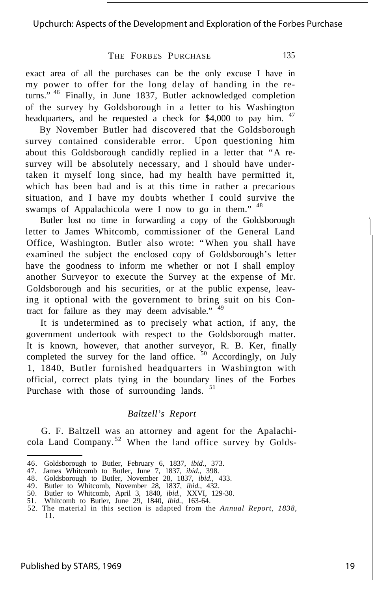#### THE FORBES PURCHASE 135

exact area of all the purchases can be the only excuse I have in my power to offer for the long delay of handing in the returns." <sup>46</sup> Finally, in June 1837, Butler acknowledged completion of the survey by Goldsborough in a letter to his Washington headquarters, and he requested a check for \$4,000 to pay him. <sup>47</sup>

By November Butler had discovered that the Goldsborough survey contained considerable error. Upon questioning him about this Goldsborough candidly replied in a letter that "A resurvey will be absolutely necessary, and I should have undertaken it myself long since, had my health have permitted it, which has been bad and is at this time in rather a precarious situation, and I have my doubts whether I could survive the swamps of Appalachicola were I now to go in them." <sup>48</sup>

Butler lost no time in forwarding a copy of the Goldsborough letter to James Whitcomb, commissioner of the General Land Office, Washington. Butler also wrote: "When you shall have examined the subject the enclosed copy of Goldsborough's letter have the goodness to inform me whether or not I shall employ another Surveyor to execute the Survey at the expense of Mr. Goldsborough and his securities, or at the public expense, leaving it optional with the government to bring suit on his Contract for failure as they may deem advisable." <sup>49</sup>

It is undetermined as to precisely what action, if any, the government undertook with respect to the Goldsborough matter. It is known, however, that another surveyor, R. B. Ker, finally completed the survey for the land office. <sup>50</sup> Accordingly, on July 1, 1840, Butler furnished headquarters in Washington with official, correct plats tying in the boundary lines of the Forbes Purchase with those of surrounding lands. <sup>51</sup>

#### *Baltzell's Report*

G. F. Baltzell was an attorney and agent for the Apalachicola Land Company.<sup>52</sup> When the land office survey by Golds-

<sup>46.</sup> 47. Goldsborough to Butler, February 6, 1837, *ibid.,* 373. James Whitcomb to Butler, June 7, 1837, *ibid.,* 398.

<sup>48.</sup> Goldsborough to Butler, November 28, 1837, *ibid.,* 433.

<sup>49.</sup> Butler to Whitcomb, November 28, 1837, *ibid.,* 432. 50. Butler to Whitcomb, April 3, 1840, *ibid.,* XXVI, 129-30.

<sup>51.</sup> Whitcomb to Butler, June 29, 1840, *ibid.,* 163-64. 52. The material in this section is adapted from the *Annual Report, 1838,* 11.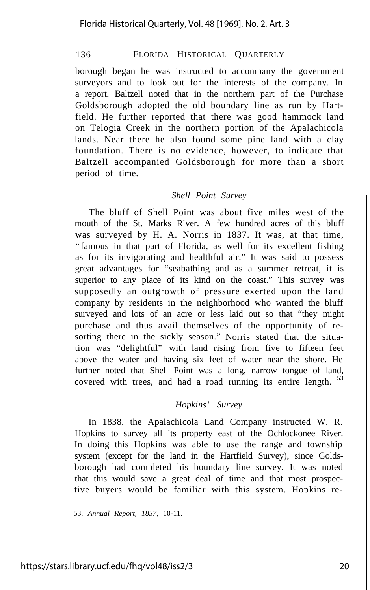borough began he was instructed to accompany the government surveyors and to look out for the interests of the company. In a report, Baltzell noted that in the northern part of the Purchase Goldsborough adopted the old boundary line as run by Hartfield. He further reported that there was good hammock land on Telogia Creek in the northern portion of the Apalachicola lands. Near there he also found some pine land with a clay foundation. There is no evidence, however, to indicate that Baltzell accompanied Goldsborough for more than a short period of time.

#### *Shell Point Survey*

The bluff of Shell Point was about five miles west of the mouth of the St. Marks River. A few hundred acres of this bluff was surveyed by H. A. Norris in 1837. It was, at that time, "famous in that part of Florida, as well for its excellent fishing as for its invigorating and healthful air." It was said to possess great advantages for "seabathing and as a summer retreat, it is superior to any place of its kind on the coast." This survey was supposedly an outgrowth of pressure exerted upon the land company by residents in the neighborhood who wanted the bluff surveyed and lots of an acre or less laid out so that "they might purchase and thus avail themselves of the opportunity of resorting there in the sickly season." Norris stated that the situation was "delightful" with land rising from five to fifteen feet above the water and having six feet of water near the shore. He further noted that Shell Point was a long, narrow tongue of land, covered with trees, and had a road running its entire length. <sup>53</sup>

#### *Hopkins' Survey*

In 1838, the Apalachicola Land Company instructed W. R. Hopkins to survey all its property east of the Ochlockonee River. In doing this Hopkins was able to use the range and township system (except for the land in the Hartfield Survey), since Goldsborough had completed his boundary line survey. It was noted that this would save a great deal of time and that most prospective buyers would be familiar with this system. Hopkins re-

<sup>53.</sup> *Annual Report, 1837,* 10-11.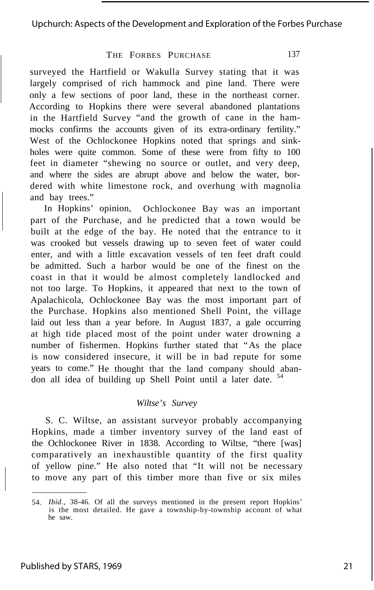#### THE FORBES PURCHASE 137

surveyed the Hartfield or Wakulla Survey stating that it was largely comprised of rich hammock and pine land. There were only a few sections of poor land, these in the northeast corner. According to Hopkins there were several abandoned plantations in the Hartfield Survey "and the growth of cane in the hammocks confirms the accounts given of its extra-ordinary fertility." West of the Ochlockonee Hopkins noted that springs and sinkholes were quite common. Some of these were from fifty to 100 feet in diameter "shewing no source or outlet, and very deep, and where the sides are abrupt above and below the water, bordered with white limestone rock, and overhung with magnolia and bay trees."

In Hopkins' opinion, Ochlockonee Bay was an important part of the Purchase, and he predicted that a town would be built at the edge of the bay. He noted that the entrance to it was crooked but vessels drawing up to seven feet of water could enter, and with a little excavation vessels of ten feet draft could be admitted. Such a harbor would be one of the finest on the coast in that it would be almost completely landlocked and not too large. To Hopkins, it appeared that next to the town of Apalachicola, Ochlockonee Bay was the most important part of the Purchase. Hopkins also mentioned Shell Point, the village laid out less than a year before. In August 1837, a gale occurring at high tide placed most of the point under water drowning a number of fishermen. Hopkins further stated that "As the place is now considered insecure, it will be in bad repute for some years to come." He thought that the land company should abandon all idea of building up Shell Point until a later date. <sup>54</sup>

#### *Wiltse's Survey*

S. C. Wiltse, an assistant surveyor probably accompanying Hopkins, made a timber inventory survey of the land east of the Ochlockonee River in 1838. According to Wiltse, "there [was] comparatively an inexhaustible quantity of the first quality of yellow pine." He also noted that "It will not be necessary to move any part of this timber more than five or six miles

<sup>54.</sup> *Ibid.,* 38-46. Of all the surveys mentioned in the present report Hopkins' is the most detailed. He gave a township-by-township account of what he saw.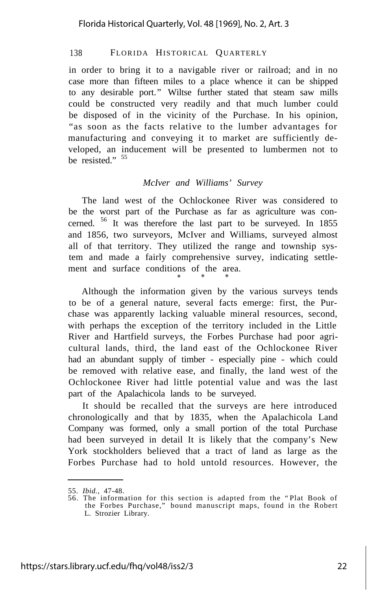in order to bring it to a navigable river or railroad; and in no case more than fifteen miles to a place whence it can be shipped to any desirable port." Wiltse further stated that steam saw mills could be constructed very readily and that much lumber could be disposed of in the vicinity of the Purchase. In his opinion, "as soon as the facts relative to the lumber advantages for manufacturing and conveying it to market are sufficiently developed, an inducement will be presented to lumbermen not to be resisted." 55

#### *McIver and Williams' Survey*

The land west of the Ochlockonee River was considered to be the worst part of the Purchase as far as agriculture was concerned. <sup>56</sup> It was therefore the last part to be surveyed. In 1855 and 1856, two surveyors, McIver and Williams, surveyed almost all of that territory. They utilized the range and township system and made a fairly comprehensive survey, indicating settlement and surface conditions of the area.

\* \* \*

Although the information given by the various surveys tends to be of a general nature, several facts emerge: first, the Purchase was apparently lacking valuable mineral resources, second, with perhaps the exception of the territory included in the Little River and Hartfield surveys, the Forbes Purchase had poor agricultural lands, third, the land east of the Ochlockonee River had an abundant supply of timber - especially pine - which could be removed with relative ease, and finally, the land west of the Ochlockonee River had little potential value and was the last part of the Apalachicola lands to be surveyed.

It should be recalled that the surveys are here introduced chronologically and that by 1835, when the Apalachicola Land Company was formed, only a small portion of the total Purchase had been surveyed in detail It is likely that the company's New York stockholders believed that a tract of land as large as the Forbes Purchase had to hold untold resources. However, the

<sup>55.</sup> *Ibid.,* 47-48.

<sup>56.</sup> The information for this section is adapted from the "Plat Book of the Forbes Purchase," bound manuscript maps, found in the Robert L. Strozier Library.